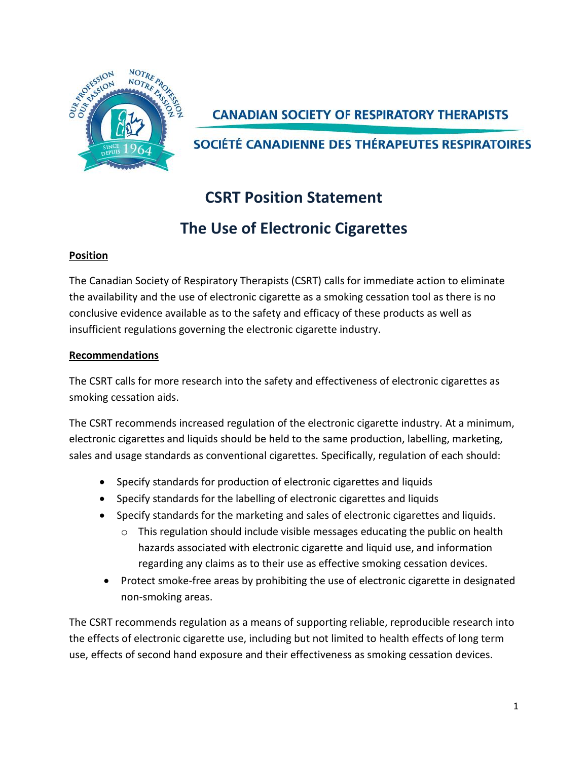

**CANADIAN SOCIETY OF RESPIRATORY THERAPISTS** 

SOCIÉTÉ CANADIENNE DES THÉRAPEUTES RESPIRATOIRES

# **CSRT Position Statement**

# **The Use of Electronic Cigarettes**

## **Position**

The Canadian Society of Respiratory Therapists (CSRT) calls for immediate action to eliminate the availability and the use of electronic cigarette as a smoking cessation tool as there is no conclusive evidence available as to the safety and efficacy of these products as well as insufficient regulations governing the electronic cigarette industry.

## **Recommendations**

The CSRT calls for more research into the safety and effectiveness of electronic cigarettes as smoking cessation aids.

The CSRT recommends increased regulation of the electronic cigarette industry. At a minimum, electronic cigarettes and liquids should be held to the same production, labelling, marketing, sales and usage standards as conventional cigarettes. Specifically, regulation of each should:

- Specify standards for production of electronic cigarettes and liquids
- Specify standards for the labelling of electronic cigarettes and liquids
- Specify standards for the marketing and sales of electronic cigarettes and liquids.
	- $\circ$  This regulation should include visible messages educating the public on health hazards associated with electronic cigarette and liquid use, and information regarding any claims as to their use as effective smoking cessation devices.
- Protect smoke-free areas by prohibiting the use of electronic cigarette in designated non-smoking areas.

The CSRT recommends regulation as a means of supporting reliable, reproducible research into the effects of electronic cigarette use, including but not limited to health effects of long term use, effects of second hand exposure and their effectiveness as smoking cessation devices.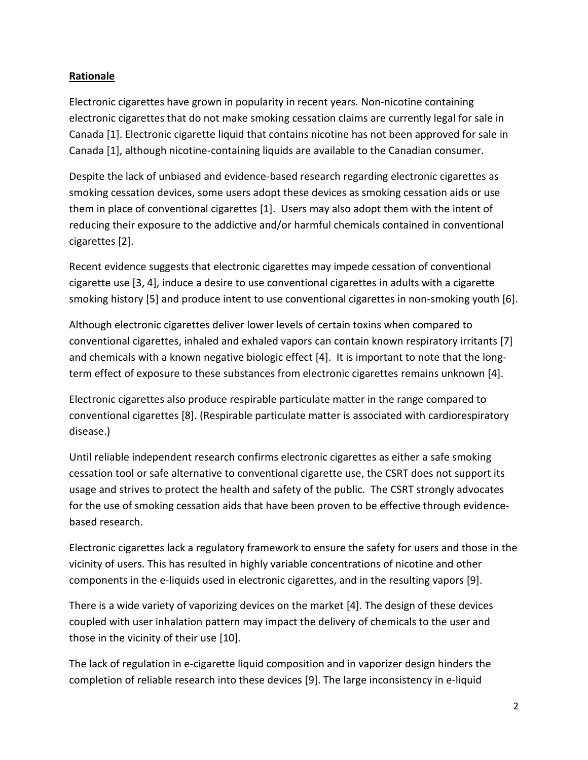### **Rationale**

Electronic cigarettes have grown in popularity in recent years. Non-nicotine containing electronic cigarettes that do not make smoking cessation claims are currently legal for sale in Canada [1]. Electronic cigarette liquid that contains nicotine has not been approved for sale in Canada [1], although nicotine-containing liquids are available to the Canadian consumer.

Despite the lack of unbiased and evidence-based research regarding electronic cigarettes as smoking cessation devices, some users adopt these devices as smoking cessation aids or use them in place of conventional cigarettes [1]. Users may also adopt them with the intent of reducing their exposure to the addictive and/or harmful chemicals contained in conventional cigarettes [2].

Recent evidence suggests that electronic cigarettes may impede cessation of conventional cigarette use [3, 4], induce a desire to use conventional cigarettes in adults with a cigarette smoking history [5] and produce intent to use conventional cigarettes in non-smoking youth [6].

Although electronic cigarettes deliver lower levels of certain toxins when compared to conventional cigarettes, inhaled and exhaled vapors can contain known respiratory irritants [7] and chemicals with a known negative biologic effect [4]. It is important to note that the longterm effect of exposure to these substances from electronic cigarettes remains unknown [4].

Electronic cigarettes also produce respirable particulate matter in the range compared to conventional cigarettes [8]. (Respirable particulate matter is associated with cardiorespiratory disease.)

Until reliable independent research confirms electronic cigarettes as either a safe smoking cessation tool or safe alternative to conventional cigarette use, the CSRT does not support its usage and strives to protect the health and safety of the public. The CSRT strongly advocates for the use of smoking cessation aids that have been proven to be effective through evidencebased research.

Electronic cigarettes lack a regulatory framework to ensure the safety for users and those in the vicinity of users. This has resulted in highly variable concentrations of nicotine and other components in the e-liquids used in electronic cigarettes, and in the resulting vapors [9].

There is a wide variety of vaporizing devices on the market [4]. The design of these devices coupled with user inhalation pattern may impact the delivery of chemicals to the user and those in the vicinity of their use [10].

The lack of regulation in e-cigarette liquid composition and in vaporizer design hinders the completion of reliable research into these devices [9]. The large inconsistency in e-liquid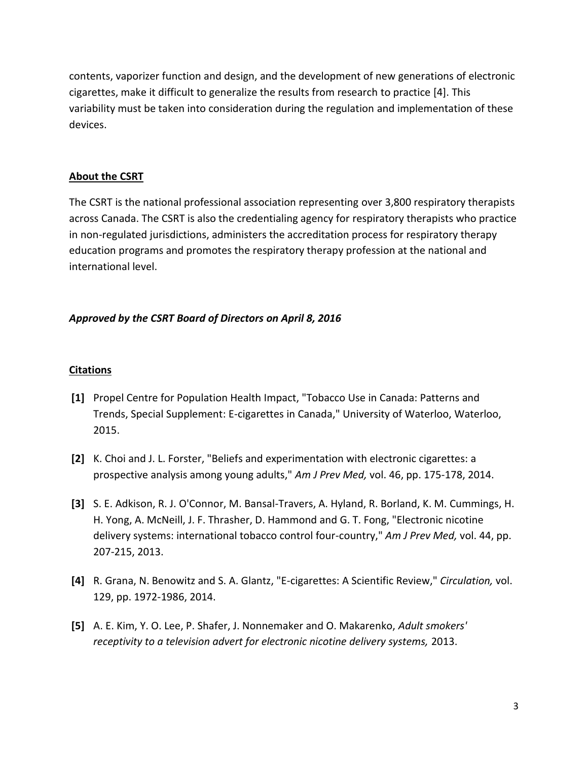contents, vaporizer function and design, and the development of new generations of electronic cigarettes, make it difficult to generalize the results from research to practice [4]. This variability must be taken into consideration during the regulation and implementation of these devices.

#### **About the CSRT**

The CSRT is the national professional association representing over 3,800 respiratory therapists across Canada. The CSRT is also the credentialing agency for respiratory therapists who practice in non-regulated jurisdictions, administers the accreditation process for respiratory therapy education programs and promotes the respiratory therapy profession at the national and international level.

### *Approved by the CSRT Board of Directors on April 8, 2016*

#### **Citations**

- **[1]** Propel Centre for Population Health Impact, "Tobacco Use in Canada: Patterns and Trends, Special Supplement: E-cigarettes in Canada," University of Waterloo, Waterloo, 2015.
- **[2]** K. Choi and J. L. Forster, "Beliefs and experimentation with electronic cigarettes: a prospective analysis among young adults," *Am J Prev Med,* vol. 46, pp. 175-178, 2014.
- **[3]** S. E. Adkison, R. J. O'Connor, M. Bansal-Travers, A. Hyland, R. Borland, K. M. Cummings, H. H. Yong, A. McNeill, J. F. Thrasher, D. Hammond and G. T. Fong, "Electronic nicotine delivery systems: international tobacco control four-country," *Am J Prev Med,* vol. 44, pp. 207-215, 2013.
- **[4]** R. Grana, N. Benowitz and S. A. Glantz, "E-cigarettes: A Scientific Review," *Circulation,* vol. 129, pp. 1972-1986, 2014.
- **[5]** A. E. Kim, Y. O. Lee, P. Shafer, J. Nonnemaker and O. Makarenko, *Adult smokers' receptivity to a television advert for electronic nicotine delivery systems,* 2013.